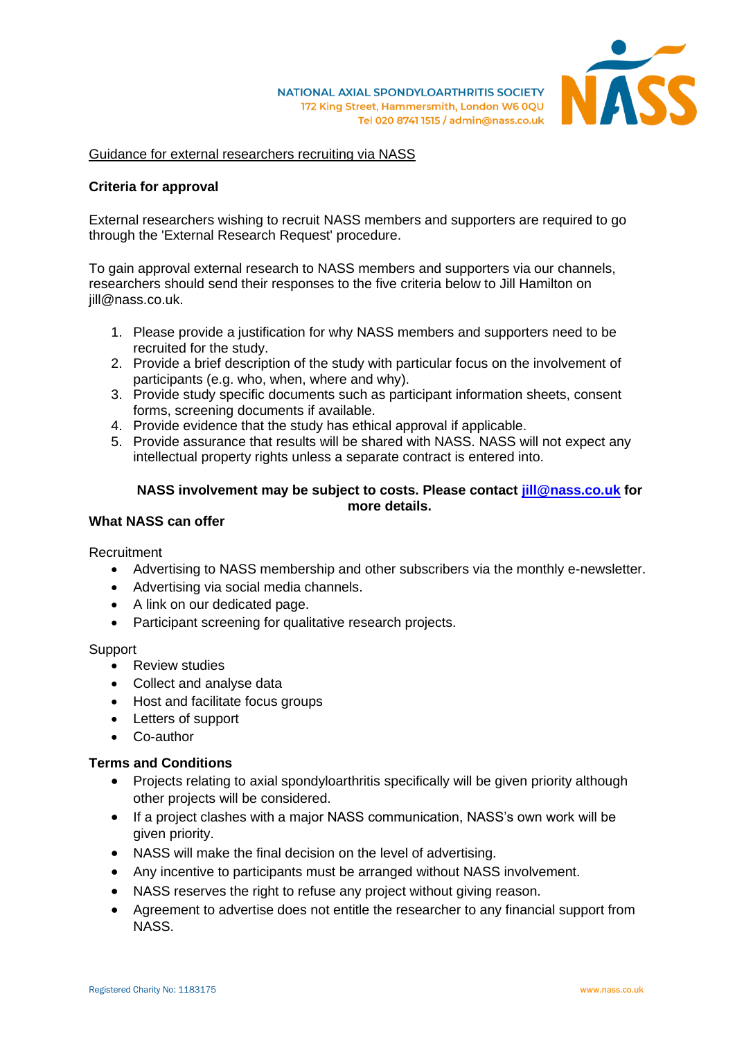

## Guidance for external researchers recruiting via NASS

## **Criteria for approval**

External researchers wishing to recruit NASS members and supporters are required to go through the 'External Research Request' procedure.

To gain approval external research to NASS members and supporters via our channels, researchers should send their responses to the five criteria below to Jill Hamilton on jill@nass.co.uk.

- 1. Please provide a justification for why NASS members and supporters need to be recruited for the study.
- 2. Provide a brief description of the study with particular focus on the involvement of participants (e.g. who, when, where and why).
- 3. Provide study specific documents such as participant information sheets, consent forms, screening documents if available.
- 4. Provide evidence that the study has ethical approval if applicable.
- 5. Provide assurance that results will be shared with NASS. NASS will not expect any intellectual property rights unless a separate contract is entered into.

# **NASS involvement may be subject to costs. Please contact [jill@nass.co.uk](mailto:jill@nass.co.uk) for more details.**

# **What NASS can offer**

Recruitment

- Advertising to NASS membership and other subscribers via the monthly e-newsletter.
- Advertising via social media channels.
- A link on our dedicated page.
- Participant screening for qualitative research projects.

Support

- Review studies
- Collect and analyse data
- Host and facilitate focus groups
- Letters of support
- Co-author

#### **Terms and Conditions**

- Projects relating to axial spondyloarthritis specifically will be given priority although other projects will be considered.
- If a project clashes with a major NASS communication, NASS's own work will be given priority.
- NASS will make the final decision on the level of advertising.
- Any incentive to participants must be arranged without NASS involvement.
- NASS reserves the right to refuse any project without giving reason.
- Agreement to advertise does not entitle the researcher to any financial support from NASS.